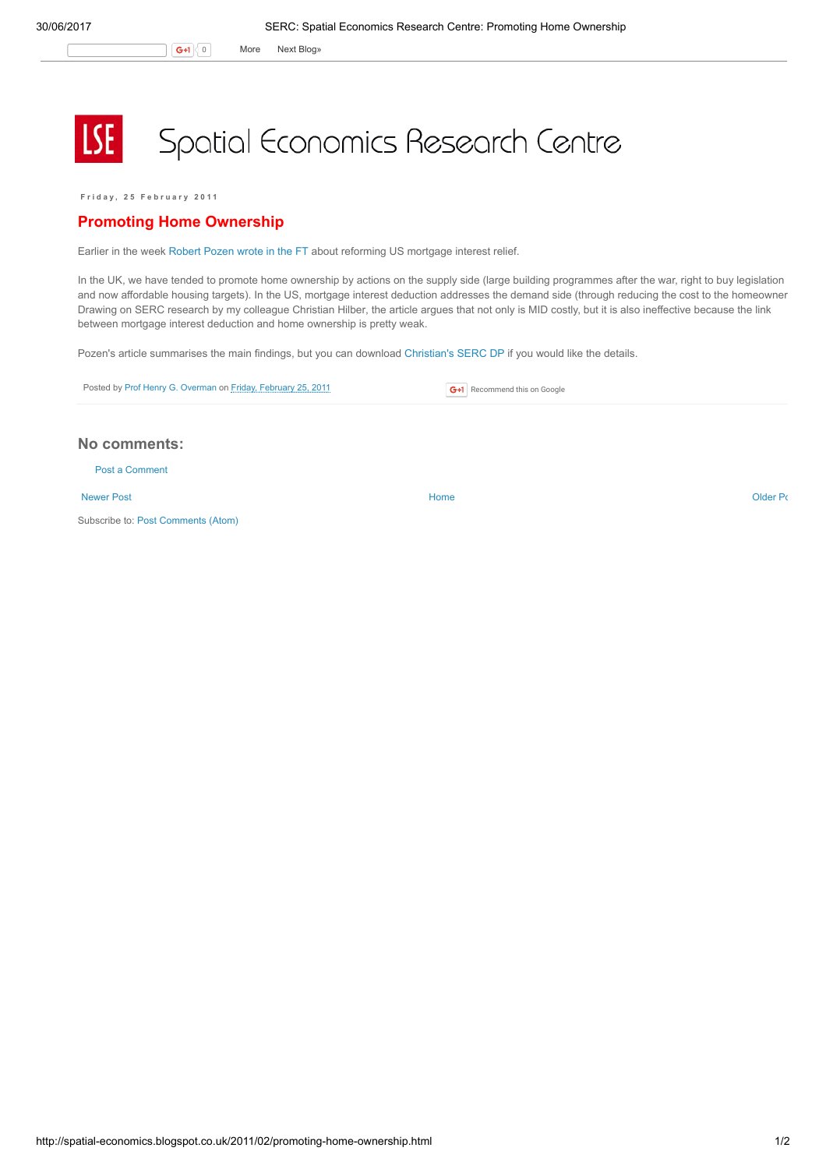G+1 0 More Next [Blog»](https://www.blogger.com/next-blog?navBar=true&blogID=974562301377041914)

## **LSE** Spatial Economics Research Centre

Friday, 25 February 2011

## Promoting Home Ownership

Earlier in the week [Robert](http://www.ft.com/cms/s/0/bbead138-3dbc-11e0-ae2a-00144feabdc0.html#axzz1EzNLQQUI) Pozen wrote in the FT about reforming US mortgage interest relief.

In the UK, we have tended to promote home ownership by actions on the supply side (large building programmes after the war, right to buy legislation and now affordable housing targets). In the US, mortgage interest deduction addresses the demand side (through reducing the cost to the homeowner). Drawing on SERC research by my colleague Christian Hilber, the article argues that not only is MID costly, but it is also ineffective because the link between mortgage interest deduction and home ownership is pretty weak.

Pozen's article summarises the main findings, but you can download [Christian's](http://www.spatialeconomics.ac.uk/textonly/SERC/publications/download/sercdp0055.pdf) SERC DP if you would like the details.

| Posted by Prof Henry G. Overman on Friday, February 25, 2011 | <b>G+1</b> Recommend this on Google |
|--------------------------------------------------------------|-------------------------------------|

## No comments:

Post a [Comment](https://www.blogger.com/comment.g?blogID=974562301377041914&postID=5658274518002889870)

[Newer](http://spatial-economics.blogspot.co.uk/2011/03/transport-and-economy.html) Post and the contract of the contract of the contract [Home](http://spatial-economics.blogspot.co.uk/) contract of the contract of the contract of the contract of the contract of the contract of the contract of the contract of the contract of the contract of t

Subscribe to: Post [Comments](http://spatial-economics.blogspot.com/feeds/5658274518002889870/comments/default) (Atom)